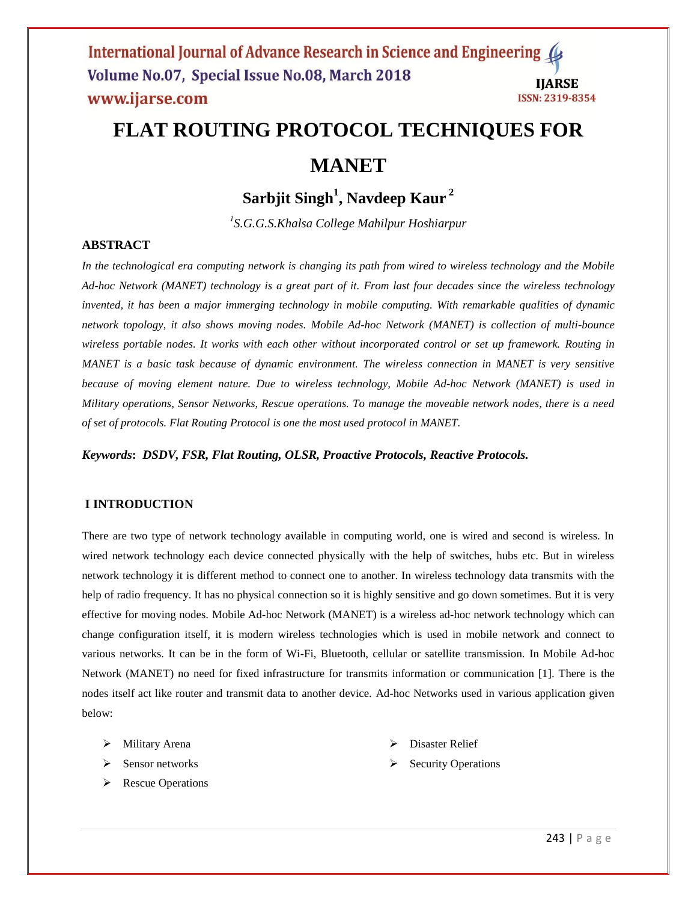# **FLAT ROUTING PROTOCOL TECHNIQUES FOR**

# **MANET**

**Sarbjit Singh<sup>1</sup> , Navdeep Kaur <sup>2</sup>**

*1 S.G.G.S.Khalsa College Mahilpur Hoshiarpur*

# **ABSTRACT**

*In the technological era computing network is changing its path from wired to wireless technology and the Mobile Ad-hoc Network (MANET) technology is a great part of it. From last four decades since the wireless technology invented, it has been a major immerging technology in mobile computing. With remarkable qualities of dynamic network topology, it also shows moving nodes. Mobile Ad-hoc Network (MANET) is collection of multi-bounce wireless portable nodes. It works with each other without incorporated control or set up framework. Routing in MANET is a basic task because of dynamic environment. The wireless connection in MANET is very sensitive because of moving element nature. Due to wireless technology, Mobile Ad-hoc Network (MANET) is used in Military operations, Sensor Networks, Rescue operations. To manage the moveable network nodes, there is a need of set of protocols. Flat Routing Protocol is one the most used protocol in MANET.*

*Keywords***:** *DSDV, FSR, Flat Routing, OLSR, Proactive Protocols, Reactive Protocols.*

### **I INTRODUCTION**

There are two type of network technology available in computing world, one is wired and second is wireless. In wired network technology each device connected physically with the help of switches, hubs etc. But in wireless network technology it is different method to connect one to another. In wireless technology data transmits with the help of radio frequency. It has no physical connection so it is highly sensitive and go down sometimes. But it is very effective for moving nodes. Mobile Ad-hoc Network (MANET) is a wireless ad-hoc network technology which can change configuration itself, it is modern wireless technologies which is used in mobile network and connect to various networks. It can be in the form of Wi-Fi, Bluetooth, cellular or satellite transmission. In Mobile Ad-hoc Network (MANET) no need for fixed infrastructure for transmits information or communication [1]. There is the nodes itself act like router and transmit data to another device. Ad-hoc Networks used in various application given below:

- Military Arena
- $\triangleright$  Sensor networks
- **Exercise** Operations
- Disaster Relief
- Security Operations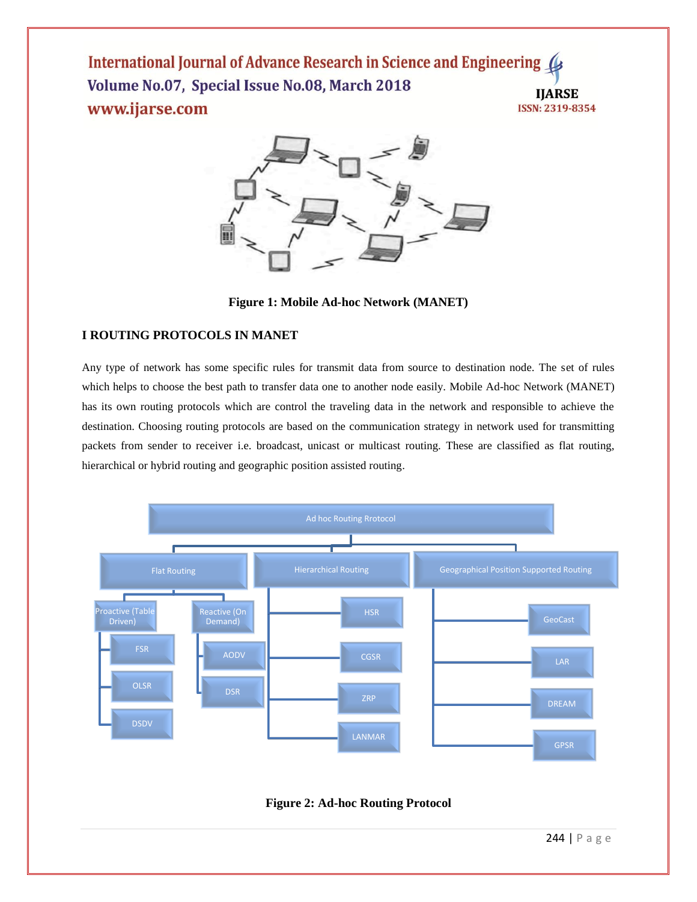

**Figure 1: Mobile Ad-hoc Network (MANET)**

# **I ROUTING PROTOCOLS IN MANET**

Any type of network has some specific rules for transmit data from source to destination node. The set of rules which helps to choose the best path to transfer data one to another node easily. Mobile Ad-hoc Network (MANET) has its own routing protocols which are control the traveling data in the network and responsible to achieve the destination. Choosing routing protocols are based on the communication strategy in network used for transmitting packets from sender to receiver i.e. broadcast, unicast or multicast routing. These are classified as flat routing, hierarchical or hybrid routing and geographic position assisted routing.



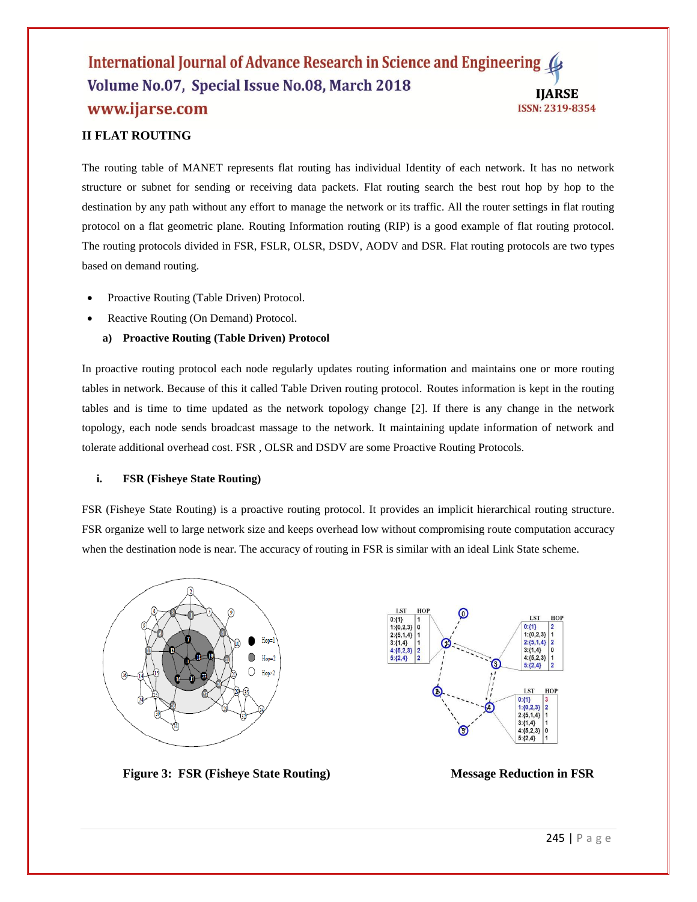# **II FLAT ROUTING**

The routing table of MANET represents flat routing has individual Identity of each network. It has no network structure or subnet for sending or receiving data packets. Flat routing search the best rout hop by hop to the destination by any path without any effort to manage the network or its traffic. All the router settings in flat routing protocol on a flat geometric plane. Routing Information routing (RIP) is a good example of flat routing protocol. The routing protocols divided in FSR, FSLR, OLSR, DSDV, AODV and DSR. Flat routing protocols are two types based on demand routing.

- Proactive Routing (Table Driven) Protocol.
- Reactive Routing (On Demand) Protocol.
	- **a) Proactive Routing (Table Driven) Protocol**

In proactive routing protocol each node regularly updates routing information and maintains one or more routing tables in network. Because of this it called Table Driven routing protocol. Routes information is kept in the routing tables and is time to time updated as the network topology change [2]. If there is any change in the network topology, each node sends broadcast massage to the network. It maintaining update information of network and tolerate additional overhead cost. FSR , OLSR and DSDV are some Proactive Routing Protocols.

### **i. FSR (Fisheye State Routing)**

FSR (Fisheye State Routing) is a proactive routing protocol. It provides an implicit hierarchical routing structure. FSR organize well to large network size and keeps overhead low without compromising route computation accuracy when the destination node is near. The accuracy of routing in FSR is similar with an ideal Link State scheme.





**Figure 3: FSR (Fisheye State Routing) Message Reduction in FSR**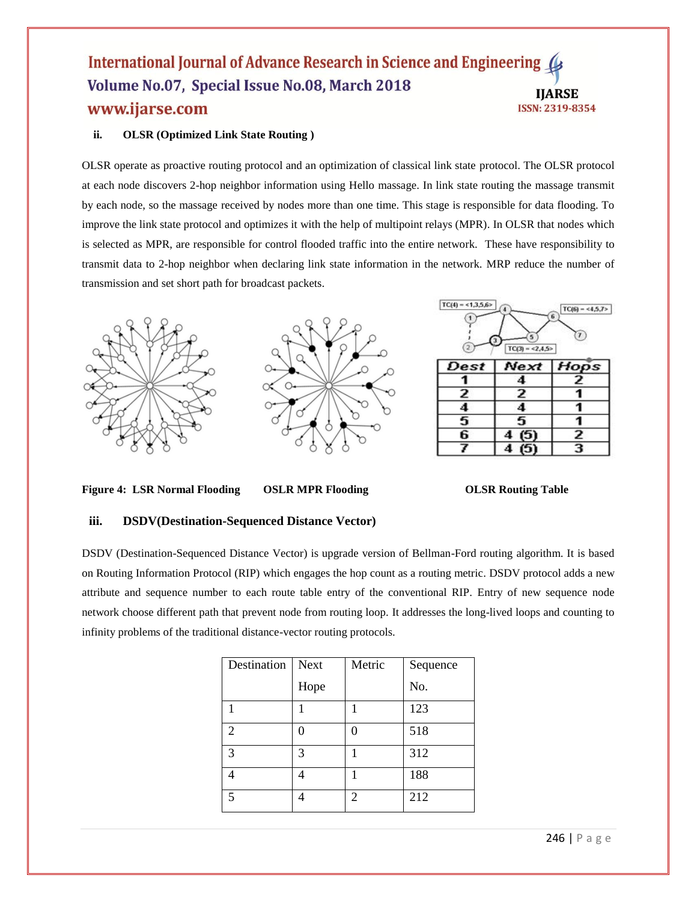# **ii. OLSR (Optimized Link State Routing )**

OLSR operate as proactive routing protocol and an optimization of classical link state protocol. The OLSR protocol at each node discovers 2-hop neighbor information using Hello massage. In link state routing the massage transmit by each node, so the massage received by nodes more than one time. This stage is responsible for data flooding. To improve the link state protocol and optimizes it with the help of multipoint relays (MPR). In OLSR that nodes which is selected as MPR, are responsible for control flooded traffic into the entire network. These have responsibility to transmit data to 2-hop neighbor when declaring link state information in the network. MRP reduce the number of transmission and set short path for broadcast packets.



**Figure 4: LSR Normal Flooding OSLR MPR Flooding OLSR Routing Table**

## **iii. DSDV(Destination-Sequenced Distance Vector)**

DSDV (Destination-Sequenced Distance Vector) is upgrade version of Bellman-Ford routing algorithm. It is based on Routing Information Protocol (RIP) which engages the hop count as a routing metric. DSDV protocol adds a new attribute and sequence number to each route table entry of the conventional RIP. Entry of new sequence node network choose different path that prevent node from routing loop. It addresses the long-lived loops and counting to infinity problems of the traditional distance-vector routing protocols.

| Destination    | <b>Next</b> | Metric         | Sequence |
|----------------|-------------|----------------|----------|
|                | Hope        |                | No.      |
|                |             |                | 123      |
| $\overline{c}$ |             |                | 518      |
| $\mathcal{R}$  | 3           |                | 312      |
|                |             |                | 188      |
| $\varsigma$    |             | $\overline{2}$ | 212      |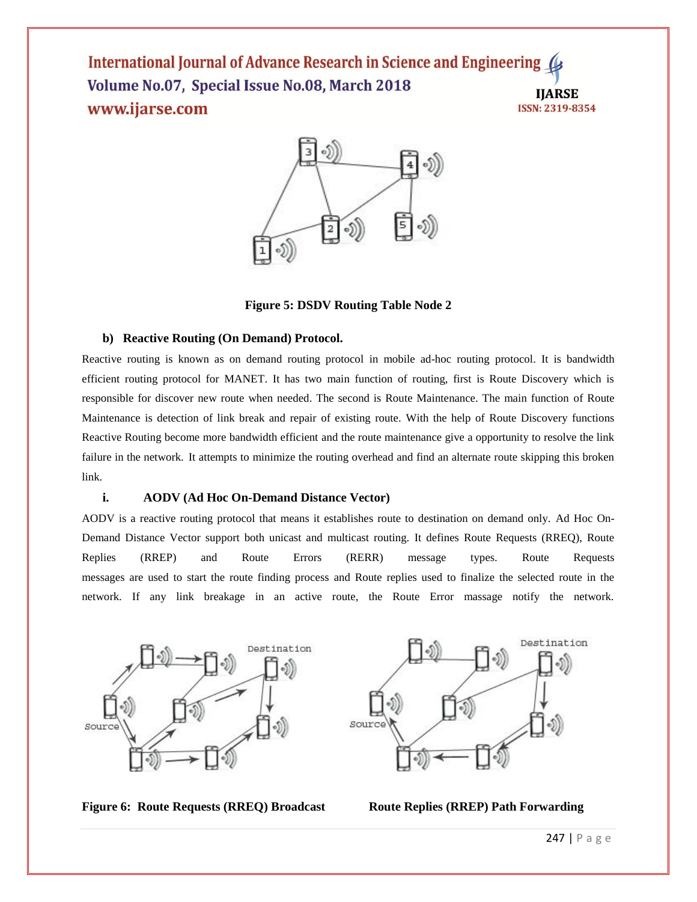

**Figure 5: DSDV Routing Table Node 2**

### **b) Reactive Routing (On Demand) Protocol.**

Reactive routing is known as on demand routing protocol in mobile ad-hoc routing protocol. It is bandwidth efficient routing protocol for MANET. It has two main function of routing, first is Route Discovery which is responsible for discover new route when needed. The second is Route Maintenance. The main function of Route Maintenance is detection of link break and repair of existing route. With the help of Route Discovery functions Reactive Routing become more bandwidth efficient and the route maintenance give a opportunity to resolve the link failure in the network. It attempts to minimize the routing overhead and find an alternate route skipping this broken link.

### **i. AODV (Ad Hoc On-Demand Distance Vector)**

AODV is a reactive routing protocol that means it establishes route to destination on demand only. Ad Hoc On-Demand Distance Vector support both unicast and multicast routing. It defines Route Requests (RREQ), Route Replies (RREP) and Route Errors (RERR) message types. Route Requests messages are used to start the route finding process and Route replies used to finalize the selected route in the network. If any link breakage in an active route, the Route Error massage notify the network.





**Figure 6: Route Requests (RREQ) Broadcast Route Replies (RREP) Path Forwarding**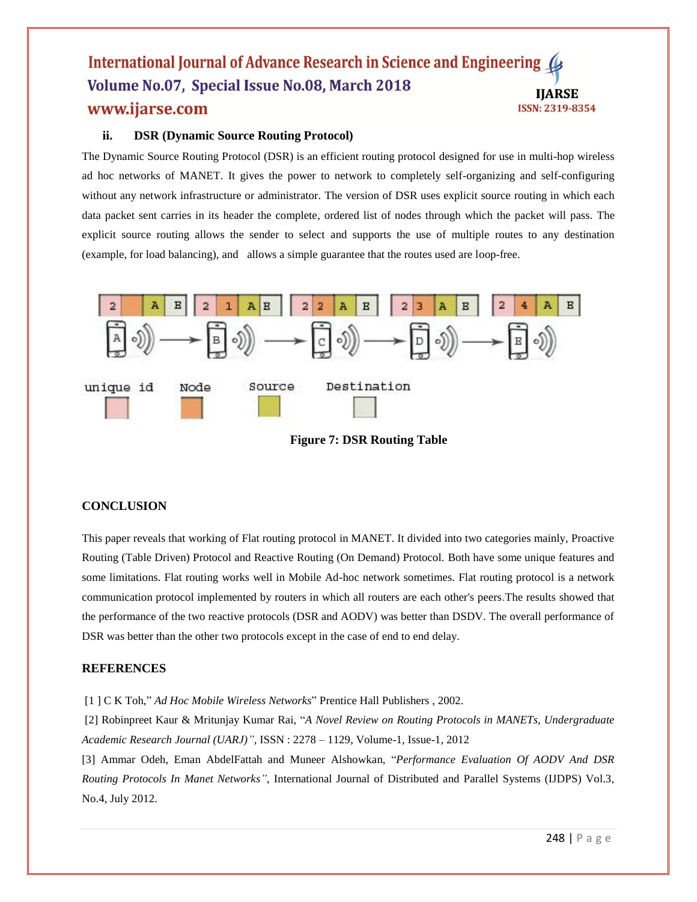# **ii. DSR (Dynamic Source Routing Protocol)**

The Dynamic Source Routing Protocol (DSR) is an efficient routing protocol designed for use in multi-hop wireless ad hoc networks of MANET. It gives the power to network to completely self-organizing and self-configuring without any network infrastructure or administrator. The version of DSR uses explicit source routing in which each data packet sent carries in its header the complete, ordered list of nodes through which the packet will pass. The explicit source routing allows the sender to select and supports the use of multiple routes to any destination (example, for load balancing), and allows a simple guarantee that the routes used are loop-free.



**Figure 7: DSR Routing Table**

### **CONCLUSION**

This paper reveals that working of Flat routing protocol in MANET. It divided into two categories mainly, Proactive Routing (Table Driven) Protocol and Reactive Routing (On Demand) Protocol. Both have some unique features and some limitations. Flat routing works well in Mobile Ad-hoc network sometimes. Flat routing protocol is a network communication protocol implemented by routers in which all routers are each other's peers.The results showed that the performance of the two reactive protocols (DSR and AODV) was better than DSDV. The overall performance of DSR was better than the other two protocols except in the case of end to end delay.

### **REFERENCES**

[1 ] C K Toh," *Ad Hoc Mobile Wireless Networks*" Prentice Hall Publishers , 2002.

[2] Robinpreet Kaur & Mritunjay Kumar Rai, "*A Novel Review on Routing Protocols in MANETs, Undergraduate Academic Research Journal (UARJ)",* ISSN : 2278 – 1129, Volume-1, Issue-1, 2012

[3] Ammar Odeh, Eman AbdelFattah and Muneer Alshowkan, "*Performance Evaluation Of AODV And DSR Routing Protocols In Manet Networks"*, International Journal of Distributed and Parallel Systems (IJDPS) Vol.3, No.4, July 2012.